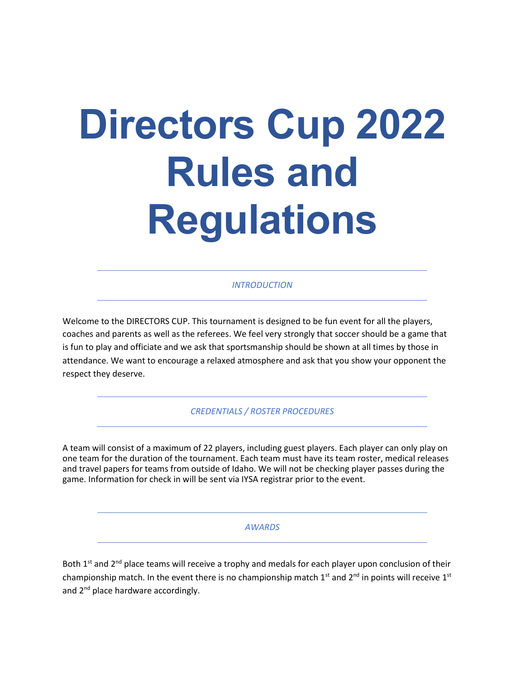# **Directors Cup 2022 Rules and Regulations**

*INTRODUCTION*

Welcome to the DIRECTORS CUP. This tournament is designed to be fun event for all the players, coaches and parents as well as the referees. We feel very strongly that soccer should be a game that is fun to play and officiate and we ask that sportsmanship should be shown at all times by those in attendance. We want to encourage a relaxed atmosphere and ask that you show your opponent the respect they deserve.

*CREDENTIALS / ROSTER PROCEDURES*

A team will consist of a maximum of 22 players, including guest players. Each player can only play on one team for the duration of the tournament. Each team must have its team roster, medical releases and travel papers for teams from outside of Idaho. We will not be checking player passes during the game. Information for check in will be sent via IYSA registrar prior to the event.

#### *AWARDS*

Both 1<sup>st</sup> and 2<sup>nd</sup> place teams will receive a trophy and medals for each player upon conclusion of their championship match. In the event there is no championship match  $1^{st}$  and  $2^{nd}$  in points will receive  $1^{st}$ and 2<sup>nd</sup> place hardware accordingly.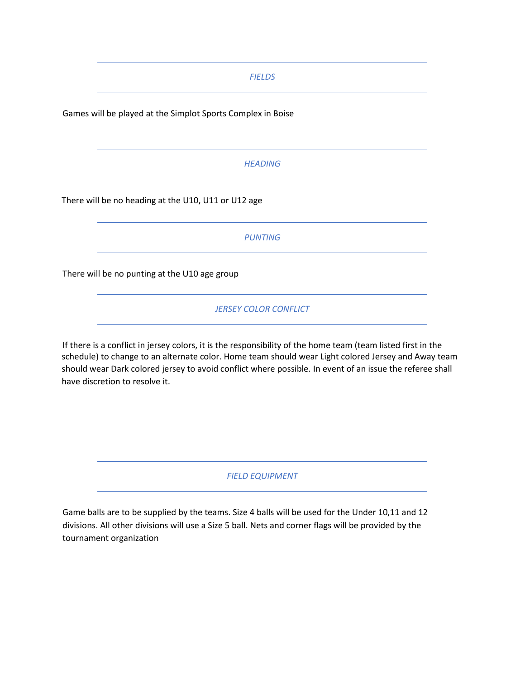*FIELDS*

Games will be played at the Simplot Sports Complex in Boise

## *HEADING*

There will be no heading at the U10, U11 or U12 age

*PUNTING*

There will be no punting at the U10 age group

*JERSEY COLOR CONFLICT*

If there is a conflict in jersey colors, it is the responsibility of the home team (team listed first in the schedule) to change to an alternate color. Home team should wear Light colored Jersey and Away team should wear Dark colored jersey to avoid conflict where possible. In event of an issue the referee shall have discretion to resolve it.

*FIELD EQUIPMENT*

Game balls are to be supplied by the teams. Size 4 balls will be used for the Under 10,11 and 12 divisions. All other divisions will use a Size 5 ball. Nets and corner flags will be provided by the tournament organization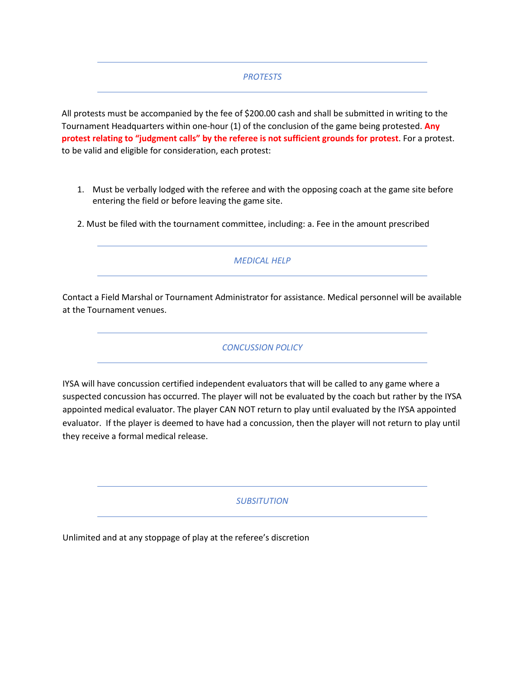### *PROTESTS*

All protests must be accompanied by the fee of \$200.00 cash and shall be submitted in writing to the Tournament Headquarters within one-hour (1) of the conclusion of the game being protested. **Any protest relating to "judgment calls" by the referee is not sufficient grounds for protest**. For a protest. to be valid and eligible for consideration, each protest:

- 1. Must be verbally lodged with the referee and with the opposing coach at the game site before entering the field or before leaving the game site.
- 2. Must be filed with the tournament committee, including: a. Fee in the amount prescribed

*MEDICAL HELP*

Contact a Field Marshal or Tournament Administrator for assistance. Medical personnel will be available at the Tournament venues.

*CONCUSSION POLICY*

IYSA will have concussion certified independent evaluators that will be called to any game where a suspected concussion has occurred. The player will not be evaluated by the coach but rather by the IYSA appointed medical evaluator. The player CAN NOT return to play until evaluated by the IYSA appointed evaluator. If the player is deemed to have had a concussion, then the player will not return to play until they receive a formal medical release.

*SUBSITUTION*

Unlimited and at any stoppage of play at the referee's discretion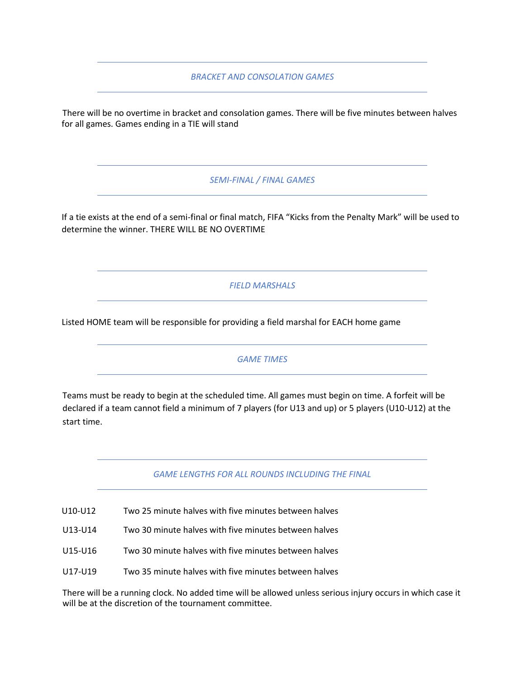*BRACKET AND CONSOLATION GAMES*

There will be no overtime in bracket and consolation games. There will be five minutes between halves for all games. Games ending in a TIE will stand

*SEMI-FINAL / FINAL GAMES*

If a tie exists at the end of a semi-final or final match, FIFA "Kicks from the Penalty Mark" will be used to determine the winner. THERE WILL BE NO OVERTIME

*FIELD MARSHALS*

Listed HOME team will be responsible for providing a field marshal for EACH home game

*GAME TIMES*

Teams must be ready to begin at the scheduled time. All games must begin on time. A forfeit will be declared if a team cannot field a minimum of 7 players (for U13 and up) or 5 players (U10-U12) at the start time.

*GAME LENGTHS FOR ALL ROUNDS INCLUDING THE FINAL*

U10-U12 Two 25 minute halves with five minutes between halves

U13-U14 Two 30 minute halves with five minutes between halves

U15-U16 Two 30 minute halves with five minutes between halves

U17-U19 Two 35 minute halves with five minutes between halves

There will be a running clock. No added time will be allowed unless serious injury occurs in which case it will be at the discretion of the tournament committee.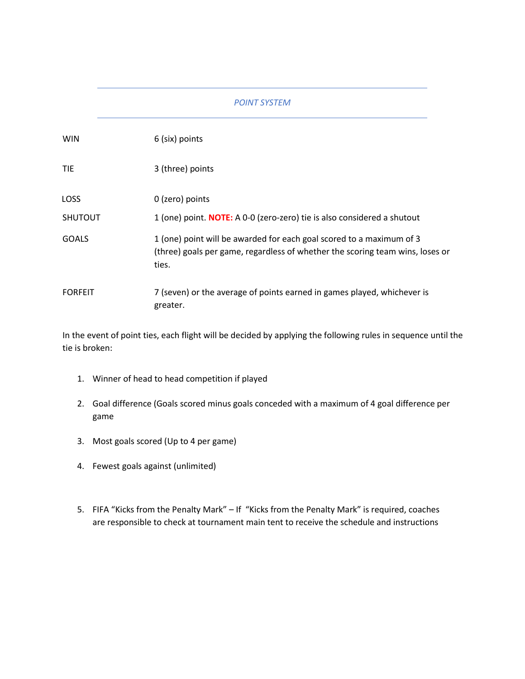# *POINT SYSTEM*

| <b>WIN</b>     | 6 (six) points                                                                                                                                                 |
|----------------|----------------------------------------------------------------------------------------------------------------------------------------------------------------|
| <b>TIE</b>     | 3 (three) points                                                                                                                                               |
| <b>LOSS</b>    | 0 (zero) points                                                                                                                                                |
| <b>SHUTOUT</b> | 1 (one) point. <b>NOTE:</b> A 0-0 (zero-zero) tie is also considered a shutout                                                                                 |
| GOALS          | 1 (one) point will be awarded for each goal scored to a maximum of 3<br>(three) goals per game, regardless of whether the scoring team wins, loses or<br>ties. |
| <b>FORFEIT</b> | 7 (seven) or the average of points earned in games played, whichever is<br>greater.                                                                            |

In the event of point ties, each flight will be decided by applying the following rules in sequence until the tie is broken:

- 1. Winner of head to head competition if played
- 2. Goal difference (Goals scored minus goals conceded with a maximum of 4 goal difference per game
- 3. Most goals scored (Up to 4 per game)
- 4. Fewest goals against (unlimited)
- 5. FIFA "Kicks from the Penalty Mark" If "Kicks from the Penalty Mark" is required, coaches are responsible to check at tournament main tent to receive the schedule and instructions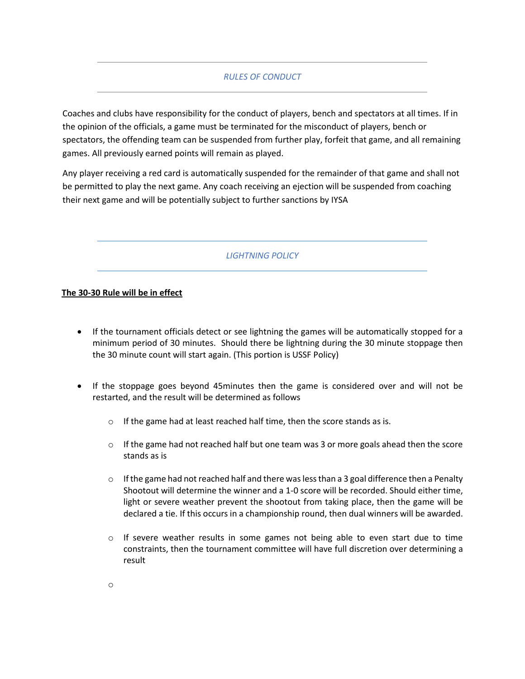# *RULES OF CONDUCT*

Coaches and clubs have responsibility for the conduct of players, bench and spectators at all times. If in the opinion of the officials, a game must be terminated for the misconduct of players, bench or spectators, the offending team can be suspended from further play, forfeit that game, and all remaining games. All previously earned points will remain as played.

Any player receiving a red card is automatically suspended for the remainder of that game and shall not be permitted to play the next game. Any coach receiving an ejection will be suspended from coaching their next game and will be potentially subject to further sanctions by IYSA

*LIGHTNING POLICY*

### **The 30-30 Rule will be in effect**

- If the tournament officials detect or see lightning the games will be automatically stopped for a minimum period of 30 minutes. Should there be lightning during the 30 minute stoppage then the 30 minute count will start again. (This portion is USSF Policy)
- If the stoppage goes beyond 45minutes then the game is considered over and will not be restarted, and the result will be determined as follows
	- o If the game had at least reached half time, then the score stands as is.
	- $\circ$  If the game had not reached half but one team was 3 or more goals ahead then the score stands as is
	- $\circ$  If the game had not reached half and there was less than a 3 goal difference then a Penalty Shootout will determine the winner and a 1-0 score will be recorded. Should either time, light or severe weather prevent the shootout from taking place, then the game will be declared a tie. If this occurs in a championship round, then dual winners will be awarded.
	- $\circ$  If severe weather results in some games not being able to even start due to time constraints, then the tournament committee will have full discretion over determining a result